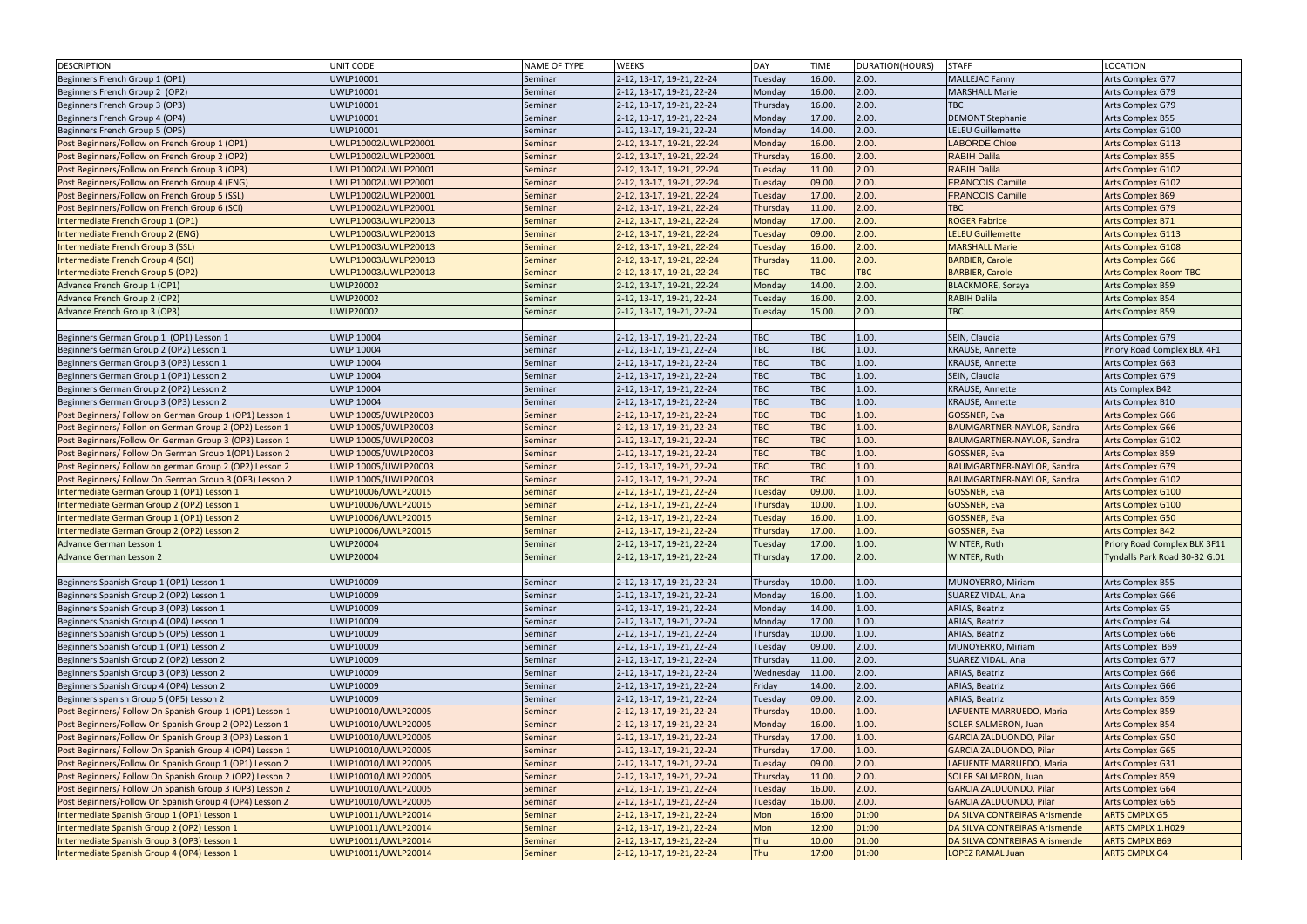| <b>DESCRIPTION</b>                                       | UNIT CODE            | NAME OF TYPE | <b>WEEKS</b>              | DAY            | <b>TIME</b> | DURATION(HOURS) | <b>STAFF</b>                      | <b>LOCATION</b>                     |
|----------------------------------------------------------|----------------------|--------------|---------------------------|----------------|-------------|-----------------|-----------------------------------|-------------------------------------|
| Beginners French Group 1 (OP1)                           | <b>UWLP10001</b>     | Seminar      | 2-12, 13-17, 19-21, 22-24 | Tuesday        | 16.00       | 2.00.           | <b>MALLEJAC Fanny</b>             | Arts Complex G77                    |
| Beginners French Group 2 (OP2)                           | UWLP10001            | Seminar      | 2-12, 13-17, 19-21, 22-24 | Monday         | 16.00       | 2.00.           | <b>MARSHALL Marie</b>             | Arts Complex G79                    |
| Beginners French Group 3 (OP3)                           | UWLP10001            | Seminar      | 2-12, 13-17, 19-21, 22-24 | Thursday       | 16.00       | 2.00.           | <b>TBC</b>                        | Arts Complex G79                    |
| Beginners French Group 4 (OP4)                           | UWLP10001            | Seminar      | 2-12, 13-17, 19-21, 22-24 | Monday         | 17.00       | 2.00.           | <b>DEMONT Stephanie</b>           | Arts Complex B55                    |
| Beginners French Group 5 (OP5)                           | UWLP10001            | Seminar      | 2-12, 13-17, 19-21, 22-24 | Monday         | 14.00       | 2.00.           | <b>LELEU Guillemette</b>          | Arts Complex G100                   |
| Post Beginners/Follow on French Group 1 (OP1)            | UWLP10002/UWLP20001  | Seminar      | 2-12, 13-17, 19-21, 22-24 | Monday         | 16.00       | 2.00.           | <b>LABORDE Chloe</b>              | <b>Arts Complex G113</b>            |
| Post Beginners/Follow on French Group 2 (OP2)            | UWLP10002/UWLP20001  | Seminar      | 2-12, 13-17, 19-21, 22-24 | Thursday       | 16.00       | 2.00.           | <b>RABIH Dalila</b>               | <b>Arts Complex B55</b>             |
| Post Beginners/Follow on French Group 3 (OP3)            | UWLP10002/UWLP20001  | Seminar      | 2-12, 13-17, 19-21, 22-24 | Tuesday        | 11.00       | 2.00.           | <b>RABIH Dalila</b>               | <b>Arts Complex G102</b>            |
| Post Beginners/Follow on French Group 4 (ENG)            | UWLP10002/UWLP20001  | Seminar      | 2-12, 13-17, 19-21, 22-24 | Tuesday        | 09.00       | 2.00.           | <b>FRANCOIS Camille</b>           | <b>Arts Complex G102</b>            |
| Post Beginners/Follow on French Group 5 (SSL)            | UWLP10002/UWLP20001  | Seminar      | 2-12, 13-17, 19-21, 22-24 | Tuesday        | 17.00       | 2.00.           | <b>FRANCOIS Camille</b>           | <b>Arts Complex B69</b>             |
|                                                          | UWLP10002/UWLP20001  |              |                           | Thursday       | 11.00       | 2.00.           | <b>TBC</b>                        |                                     |
| Post Beginners/Follow on French Group 6 (SCI)            |                      | Seminar      | 2-12, 13-17, 19-21, 22-24 |                |             |                 |                                   | Arts Complex G79                    |
| Intermediate French Group 1 (OP1)                        | UWLP10003/UWLP20013  | Seminar      | 2-12, 13-17, 19-21, 22-24 | Monday         | 17.00       | 2.00.           | <b>ROGER Fabrice</b>              | <b>Arts Complex B71</b>             |
| Intermediate French Group 2 (ENG)                        | UWLP10003/UWLP20013  | Seminar      | 2-12, 13-17, 19-21, 22-24 | Tuesday        | 09.00       | 2.00.           | <b>LELEU Guillemette</b>          | <b>Arts Complex G113</b>            |
| Intermediate French Group 3 (SSL)                        | UWLP10003/UWLP20013  | Seminar      | 2-12, 13-17, 19-21, 22-24 | Tuesday        | 16.00       | 2.00.           | <b>MARSHALL Marie</b>             | <b>Arts Complex G108</b>            |
| Intermediate French Group 4 (SCI)                        | UWLP10003/UWLP20013  | Seminar      | 2-12, 13-17, 19-21, 22-24 | Thursday       | 11.00       | 2.00.           | <b>BARBIER, Carole</b>            | <b>Arts Complex G66</b>             |
| Intermediate French Group 5 (OP2)                        | UWLP10003/UWLP20013  | Seminar      | 2-12, 13-17, 19-21, 22-24 | <b>TBC</b>     | <b>TBC</b>  | <b>TBC</b>      | <b>BARBIER, Carole</b>            | <b>Arts Complex Room TBC</b>        |
| Advance French Group 1 (OP1)                             | <b>UWLP20002</b>     | Seminar      | 2-12, 13-17, 19-21, 22-24 | Monday         | 14.00       | 2.00.           | <b>BLACKMORE, Soraya</b>          | <b>Arts Complex B59</b>             |
| Advance French Group 2 (OP2)                             | <b>UWLP20002</b>     | Seminar      | 2-12, 13-17, 19-21, 22-24 | Tuesday        | 16.00       | 2.00.           | <b>RABIH Dalila</b>               | <b>Arts Complex B54</b>             |
| Advance French Group 3 (OP3)                             | <b>UWLP20002</b>     | Seminar      | 2-12, 13-17, 19-21, 22-24 | Tuesday        | 15.00.      | 2.00.           | <b>TBC</b>                        | <b>Arts Complex B59</b>             |
|                                                          |                      |              |                           |                |             |                 |                                   |                                     |
| Beginners German Group 1 (OP1) Lesson 1                  | <b>UWLP 10004</b>    | Seminar      | 2-12, 13-17, 19-21, 22-24 | <b>TBC</b>     | <b>TBC</b>  | 1.00.           | SEIN, Claudia                     | Arts Complex G79                    |
| Beginners German Group 2 (OP2) Lesson 1                  | <b>UWLP 10004</b>    | Seminar      | 2-12, 13-17, 19-21, 22-24 | TBC            | <b>TBC</b>  | 1.00.           | <b>KRAUSE, Annette</b>            | Priory Road Complex BLK 4F1         |
| Beginners German Group 3 (OP3) Lesson 1                  | <b>UWLP 10004</b>    | Seminar      | 2-12, 13-17, 19-21, 22-24 | <b>TBC</b>     | <b>TBC</b>  | 1.00.           | <b>KRAUSE, Annette</b>            | Arts Complex G63                    |
| Beginners German Group 1 (OP1) Lesson 2                  | <b>UWLP 10004</b>    | Seminar      | 2-12, 13-17, 19-21, 22-24 | TBC            | TBC         | 1.00.           | SEIN, Claudia                     | Arts Complex G79                    |
| Beginners German Group 2 (OP2) Lesson 2                  | <b>UWLP 10004</b>    | Seminar      | 2-12, 13-17, 19-21, 22-24 | TBC            | <b>TBC</b>  | 1.00.           | <b>KRAUSE, Annette</b>            | Ats Complex B42                     |
| Beginners German Group 3 (OP3) Lesson 2                  | <b>UWLP 10004</b>    | Seminar      | 2-12, 13-17, 19-21, 22-24 | TBC            | <b>TBC</b>  | 1.00.           | <b>KRAUSE, Annette</b>            | Arts Complex B10                    |
| Post Beginners/ Follow on German Group 1 (OP1) Lesson 1  | UWLP 10005/UWLP20003 | Seminar      | 2-12, 13-17, 19-21, 22-24 | <b>TBC</b>     | <b>TBC</b>  | 1.00.           | <b>GOSSNER, Eva</b>               | <b>Arts Complex G66</b>             |
| Post Beginners/ Follon on German Group 2 (OP2) Lesson 1  | UWLP 10005/UWLP20003 | Seminar      | 2-12, 13-17, 19-21, 22-24 | <b>TBC</b>     | <b>TBC</b>  | 1.00.           | BAUMGARTNER-NAYLOR, Sandra        | <b>Arts Complex G66</b>             |
| Post Beginners/Follow On German Group 3 (OP3) Lesson 1   | UWLP 10005/UWLP20003 | Seminar      | 2-12, 13-17, 19-21, 22-24 | <b>TBC</b>     | <b>TBC</b>  | 1.00.           | BAUMGARTNER-NAYLOR, Sandra        | <b>Arts Complex G102</b>            |
| Post Beginners/ Follow On German Group 1(OP1) Lesson 2   | UWLP 10005/UWLP20003 | Seminar      | 2-12, 13-17, 19-21, 22-24 | <b>TBC</b>     | <b>TBC</b>  | 1.00.           | <b>GOSSNER, Eva</b>               | <b>Arts Complex B59</b>             |
|                                                          | UWLP 10005/UWLP20003 |              | 2-12, 13-17, 19-21, 22-24 | <b>TBC</b>     | <b>TBC</b>  | 1.00.           | BAUMGARTNER-NAYLOR, Sandra        | <b>Arts Complex G79</b>             |
| Post Beginners/ Follow on german Group 2 (OP2) Lesson 2  |                      | Seminar      |                           | <b>TBC</b>     | <b>TBC</b>  |                 |                                   |                                     |
| Post Beginners/ Follow On German Group 3 (OP3) Lesson 2  | UWLP 10005/UWLP20003 | Seminar      | 2-12, 13-17, 19-21, 22-24 |                |             | 1.00.           | <b>BAUMGARTNER-NAYLOR, Sandra</b> | <b>Arts Complex G102</b>            |
| Intermediate German Group 1 (OP1) Lesson 1               | UWLP10006/UWLP20015  | Seminar      | 2-12, 13-17, 19-21, 22-24 | <b>Tuesday</b> | 09.00       | 1.00.           | <b>GOSSNER, Eva</b>               | <b>Arts Complex G100</b>            |
| Intermediate German Group 2 (OP2) Lesson 1               | UWLP10006/UWLP20015  | Seminar      | 2-12, 13-17, 19-21, 22-24 | Thursday       | 10.00       | 1.00.           | <b>GOSSNER, Eva</b>               | <b>Arts Complex G100</b>            |
| Intermediate German Group 1 (OP1) Lesson 2               | UWLP10006/UWLP20015  | Seminar      | 2-12, 13-17, 19-21, 22-24 | Tuesday        | 16.00       | 1.00.           | <b>GOSSNER, Eva</b>               | <b>Arts Complex G50</b>             |
| Intermediate German Group 2 (OP2) Lesson 2               | UWLP10006/UWLP20015  | Seminar      | 2-12, 13-17, 19-21, 22-24 | Thursday       | 17.00       | 1.00.           | <b>GOSSNER, Eva</b>               | <b>Arts Complex B42</b>             |
| Advance German Lesson 1                                  | <b>UWLP20004</b>     | Seminar      | 2-12, 13-17, 19-21, 22-24 | Tuesday        | 17.00.      | 1.00.           | <b>WINTER, Ruth</b>               | <b>Priory Road Complex BLK 3F11</b> |
| Advance German Lesson 2                                  | <b>UWLP20004</b>     | Seminar      | 2-12, 13-17, 19-21, 22-24 | Thursday       | 17.00.      | 2.00.           | WINTER, Ruth                      | Tyndalls Park Road 30-32 G.01       |
|                                                          |                      |              |                           |                |             |                 |                                   |                                     |
| Beginners Spanish Group 1 (OP1) Lesson 1                 | UWLP10009            | Seminar      | 2-12, 13-17, 19-21, 22-24 | Thursday       | 10.00       | 1.00.           | MUNOYERRO, Miriam                 | Arts Complex B55                    |
| Beginners Spanish Group 2 (OP2) Lesson 1                 | UWLP10009            | Seminar      | 2-12, 13-17, 19-21, 22-24 | Monday         | 16.00.      | 1.00.           | SUAREZ VIDAL, Ana                 | Arts Complex G66                    |
| Beginners Spanish Group 3 (OP3) Lesson 1                 | UWLP10009            | Seminar      | 2-12, 13-17, 19-21, 22-24 | Monday         | 14.00       | 1.00.           | <b>ARIAS, Beatriz</b>             | Arts Complex G5                     |
| Beginners Spanish Group 4 (OP4) Lesson 1                 | <b>UWLP10009</b>     | Seminar      | 2-12, 13-17, 19-21, 22-24 | Monday         | 17.00.      | 1.00.           | ARIAS, Beatriz                    | Arts Complex G4                     |
| Beginners Spanish Group 5 (OP5) Lesson 1                 | UWLP10009            | Seminar      | 2-12, 13-17, 19-21, 22-24 | Thursday       | 10.00       | 1.00.           | ARIAS, Beatriz                    | Arts Complex G66                    |
| Beginners Spanish Group 1 (OP1) Lesson 2                 | UWLP10009            | Seminar      | 2-12, 13-17, 19-21, 22-24 | Tuesday        | 09.00       | 2.00.           | MUNOYERRO, Miriam                 | Arts Complex B69                    |
| Beginners Spanish Group 2 (OP2) Lesson 2                 | <b>UWLP10009</b>     | Seminar      | 2-12, 13-17, 19-21, 22-24 | Thursday       | 11.00.      | 2.00.           | SUAREZ VIDAL, Ana                 | Arts Complex G77                    |
| Beginners Spanish Group 3 (OP3) Lesson 2                 | UWLP10009            | Seminar      | 2-12, 13-17, 19-21, 22-24 | Wednesday      | 11.00.      | 2.00.           | ARIAS, Beatriz                    | Arts Complex G66                    |
| Beginners Spanish Group 4 (OP4) Lesson 2                 | <b>UWLP10009</b>     | Seminar      | 2-12, 13-17, 19-21, 22-24 | Friday         | 14.00       | 2.00.           | <b>ARIAS, Beatriz</b>             | Arts Complex G66                    |
| Beginners spanish Group 5 (OP5) Lesson 2                 | <b>UWLP10009</b>     | Seminar      | 2-12, 13-17, 19-21, 22-24 | Tuesday        | 09.00       | 2.00.           | ARIAS, Beatriz                    | Arts Complex B59                    |
| Post Beginners/ Follow On Spanish Group 1 (OP1) Lesson 1 | UWLP10010/UWLP20005  | Seminar      | 2-12, 13-17, 19-21, 22-24 | Thursday       | 10.00       | 1.00.           | LAFUENTE MARRUEDO, Maria          | <b>Arts Complex B59</b>             |
| Post Beginners/Follow On Spanish Group 2 (OP2) Lesson 1  | UWLP10010/UWLP20005  | Seminar      | 2-12, 13-17, 19-21, 22-24 | Monday         | 16.00       | 1.00.           | <b>SOLER SALMERON, Juan</b>       | <b>Arts Complex B54</b>             |
| Post Beginners/Follow On Spanish Group 3 (OP3) Lesson 1  | UWLP10010/UWLP20005  | Seminar      | 2-12, 13-17, 19-21, 22-24 | Thursday       | 17.00       | 1.00.           | GARCIA ZALDUONDO, Pilar           | <b>Arts Complex G50</b>             |
| Post Beginners/ Follow On Spanish Group 4 (OP4) Lesson 1 | UWLP10010/UWLP20005  | Seminar      | 2-12, 13-17, 19-21, 22-24 | Thursday       | 17.00       | 1.00.           | GARCIA ZALDUONDO, Pilar           | <b>Arts Complex G65</b>             |
| Post Beginners/Follow On Spanish Group 1 (OP1) Lesson 2  | UWLP10010/UWLP20005  |              | 2-12, 13-17, 19-21, 22-24 | Tuesday        | 09.00       | 2.00.           | LAFUENTE MARRUEDO, Maria          | <b>Arts Complex G31</b>             |
|                                                          |                      | Seminar      |                           |                |             |                 |                                   |                                     |
| Post Beginners/ Follow On Spanish Group 2 (OP2) Lesson 2 | UWLP10010/UWLP20005  | Seminar      | 2-12, 13-17, 19-21, 22-24 | Thursday       | 11.00       | 2.00.           | <b>SOLER SALMERON, Juan</b>       | <b>Arts Complex B59</b>             |
| Post Beginners/ Follow On Spanish Group 3 (OP3) Lesson 2 | UWLP10010/UWLP20005  | Seminar      | 2-12, 13-17, 19-21, 22-24 | Tuesday        | 16.00       | 2.00.           | GARCIA ZALDUONDO, Pilar           | <b>Arts Complex G64</b>             |
| Post Beginners/Follow On Spanish Group 4 (OP4) Lesson 2  | UWLP10010/UWLP20005  | Seminar      | 2-12, 13-17, 19-21, 22-24 | Tuesday        | 16.00       | 2.00.           | <b>GARCIA ZALDUONDO, Pilar</b>    | <b>Arts Complex G65</b>             |
| Intermediate Spanish Group 1 (OP1) Lesson 1              | UWLP10011/UWLP20014  | Seminar      | 2-12, 13-17, 19-21, 22-24 | Mon            | 16:00       | 01:00           | DA SILVA CONTREIRAS Arismende     | <b>ARTS CMPLX G5</b>                |
| Intermediate Spanish Group 2 (OP2) Lesson 1              | UWLP10011/UWLP20014  | Seminar      | 2-12, 13-17, 19-21, 22-24 | Mon            | 12:00       | 01:00           | DA SILVA CONTREIRAS Arismende     | <b>ARTS CMPLX 1.H029</b>            |
| Intermediate Spanish Group 3 (OP3) Lesson 1              | UWLP10011/UWLP20014  | Seminar      | 2-12, 13-17, 19-21, 22-24 | Thu            | 10:00       | 01:00           | DA SILVA CONTREIRAS Arismende     | <b>ARTS CMPLX B69</b>               |
| Intermediate Spanish Group 4 (OP4) Lesson 1              | UWLP10011/UWLP20014  | Seminar      | 2-12, 13-17, 19-21, 22-24 | Thu            | 17:00       | 01:00           | <b>LOPEZ RAMAL Juan</b>           | <b>ARTS CMPLX G4</b>                |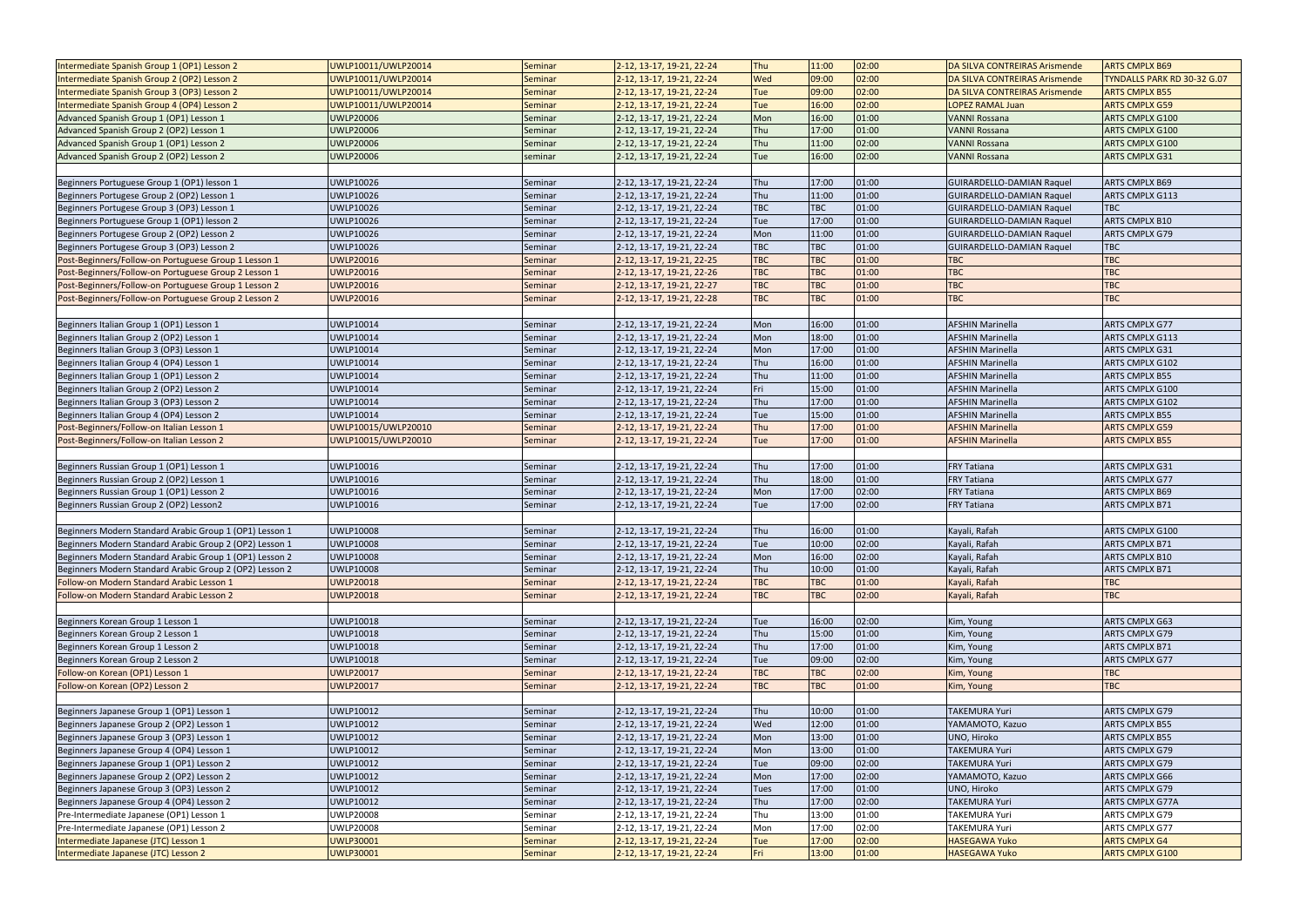| Intermediate Spanish Group 1 (OP1) Lesson 2                                  | UWLP10011/UWLP20014                  | Seminar            | 2-12, 13-17, 19-21, 22-24                              | Thu        | 11:00          | 02:00          | <b>DA SILVA CONTREIRAS Arismende</b>         | <b>ARTS CMPLX B69</b>                          |
|------------------------------------------------------------------------------|--------------------------------------|--------------------|--------------------------------------------------------|------------|----------------|----------------|----------------------------------------------|------------------------------------------------|
| Intermediate Spanish Group 2 (OP2) Lesson 2                                  | UWLP10011/UWLP20014                  | Seminar            | 2-12, 13-17, 19-21, 22-24                              | Wed        | 09:00          | 02:00          | DA SILVA CONTREIRAS Arismende                | TYNDALLS PARK RD 30-32 G.07                    |
| Intermediate Spanish Group 3 (OP3) Lesson 2                                  | UWLP10011/UWLP20014                  | Seminar            | 2-12, 13-17, 19-21, 22-24                              | Tue        | 09:00          | 02:00          | DA SILVA CONTREIRAS Arismende                | <b>ARTS CMPLX B55</b>                          |
| Intermediate Spanish Group 4 (OP4) Lesson 2                                  | UWLP10011/UWLP20014                  | Seminar            | 2-12, 13-17, 19-21, 22-24                              | Tue        | 16:00          | 02:00          | <b>LOPEZ RAMAL Juan</b>                      | <b>ARTS CMPLX G59</b>                          |
| Advanced Spanish Group 1 (OP1) Lesson 1                                      | <b>UWLP20006</b>                     | Seminar            | 2-12, 13-17, 19-21, 22-24                              | Mon        | 16:00          | 01:00          | <b>VANNI Rossana</b>                         | ARTS CMPLX G100                                |
| Advanced Spanish Group 2 (OP2) Lesson 1                                      | <b>UWLP20006</b>                     | Seminar            | 2-12, 13-17, 19-21, 22-24                              | Thu        | 17:00          | 01:00          | <b>VANNI Rossana</b>                         | ARTS CMPLX G100                                |
| Advanced Spanish Group 1 (OP1) Lesson 2                                      | <b>UWLP20006</b>                     | Seminar            | 2-12, 13-17, 19-21, 22-24                              | Thu        | 11:00          | 02:00          | <b>VANNI Rossana</b>                         | ARTS CMPLX G100                                |
| Advanced Spanish Group 2 (OP2) Lesson 2                                      | <b>UWLP20006</b>                     |                    | 2-12, 13-17, 19-21, 22-24                              | Tue        | 16:00          | 02:00          | <b>VANNI Rossana</b>                         | ARTS CMPLX G31                                 |
|                                                                              |                                      | seminar            |                                                        |            |                |                |                                              |                                                |
| Beginners Portuguese Group 1 (OP1) lesson 1                                  |                                      |                    |                                                        | Thu        | 17:00          | 01:00          |                                              | ARTS CMPLX B69                                 |
|                                                                              | <b>UWLP10026</b>                     | Seminar            | 2-12, 13-17, 19-21, 22-24                              |            |                |                | <b>GUIRARDELLO-DAMIAN Raquel</b>             |                                                |
| Beginners Portugese Group 2 (OP2) Lesson 1                                   | <b>UWLP10026</b>                     | Seminar            | 2-12, 13-17, 19-21, 22-24                              | Thu        | 11:00          | 01:00          | <b>GUIRARDELLO-DAMIAN Raquel</b>             | ARTS CMPLX G113                                |
| Beginners Portugese Group 3 (OP3) Lesson 1                                   | <b>UWLP10026</b>                     | Seminar            | 2-12, 13-17, 19-21, 22-24                              | TBC        | <b>TBC</b>     | 01:00          | GUIRARDELLO-DAMIAN Raquel                    | <b>TBC</b>                                     |
| Beginners Portuguese Group 1 (OP1) lesson 2                                  | UWLP10026                            | Seminar            | 2-12, 13-17, 19-21, 22-24                              | Tue        | 17:00          | 01:00          | <b>GUIRARDELLO-DAMIAN Raquel</b>             | ARTS CMPLX B10                                 |
| Beginners Portugese Group 2 (OP2) Lesson 2                                   | UWLP10026                            | Seminar            | 2-12, 13-17, 19-21, 22-24                              | Mon        | 11:00          | 01:00          | <b>GUIRARDELLO-DAMIAN Raquel</b>             | ARTS CMPLX G79                                 |
| Beginners Portugese Group 3 (OP3) Lesson 2                                   | <b>UWLP10026</b>                     | Seminar            | 2-12, 13-17, 19-21, 22-24                              | <b>TBC</b> | <b>TBC</b>     | 01:00          | GUIRARDELLO-DAMIAN Raquel                    | <b>TBC</b>                                     |
| Post-Beginners/Follow-on Portuguese Group 1 Lesson 1                         | <b>UWLP20016</b>                     | Seminar            | 2-12, 13-17, 19-21, 22-25                              | <b>TBC</b> | <b>TBC</b>     | 01:00          | <b>TBC</b>                                   | <b>TBC</b>                                     |
| Post-Beginners/Follow-on Portuguese Group 2 Lesson 1                         | <b>UWLP20016</b>                     | Seminar            | 2-12, 13-17, 19-21, 22-26                              | <b>TBC</b> | <b>TBC</b>     | 01:00          | <b>TBC</b>                                   | <b>TBC</b>                                     |
| Post-Beginners/Follow-on Portuguese Group 1 Lesson 2                         | <b>UWLP20016</b>                     | Seminar            | 2-12, 13-17, 19-21, 22-27                              | <b>TBC</b> | <b>TBC</b>     | 01:00          | <b>TBC</b>                                   | <b>TBC</b>                                     |
| Post-Beginners/Follow-on Portuguese Group 2 Lesson 2                         | <b>UWLP20016</b>                     | Seminar            | 2-12, 13-17, 19-21, 22-28                              | <b>TBC</b> | <b>TBC</b>     | 01:00          | <b>TBC</b>                                   | <b>TBC</b>                                     |
|                                                                              |                                      |                    |                                                        |            |                |                |                                              |                                                |
| Beginners Italian Group 1 (OP1) Lesson 1                                     | UWLP10014                            | Seminar            | 2-12, 13-17, 19-21, 22-24                              | Mon        | 16:00          | 01:00          | <b>AFSHIN Marinella</b>                      | ARTS CMPLX G77                                 |
| Beginners Italian Group 2 (OP2) Lesson 1                                     | UWLP10014                            | Seminar            | 2-12, 13-17, 19-21, 22-24                              | Mon        | 18:00          | 01:00          | <b>AFSHIN Marinella</b>                      | ARTS CMPLX G113                                |
| Beginners Italian Group 3 (OP3) Lesson 1                                     | UWLP10014                            | Seminar            | 2-12, 13-17, 19-21, 22-24                              | Mon        | 17:00          | 01:00          | <b>AFSHIN Marinella</b>                      | ARTS CMPLX G31                                 |
| Beginners Italian Group 4 (OP4) Lesson 1                                     | UWLP10014                            | Seminar            | 2-12, 13-17, 19-21, 22-24                              | Thu        | 16:00          | 01:00          | <b>AFSHIN Marinella</b>                      | ARTS CMPLX G102                                |
| Beginners Italian Group 1 (OP1) Lesson 2                                     | UWLP10014                            | Seminar            | 2-12, 13-17, 19-21, 22-24                              | Thu        | 11:00          | 01:00          | <b>AFSHIN Marinella</b>                      | ARTS CMPLX B55                                 |
| Beginners Italian Group 2 (OP2) Lesson 2                                     | UWLP10014                            | Seminar            | 2-12, 13-17, 19-21, 22-24                              | Fri        | 15:00          | 01:00          | <b>AFSHIN Marinella</b>                      | ARTS CMPLX G100                                |
| Beginners Italian Group 3 (OP3) Lesson 2                                     | UWLP10014                            | Seminar            | 2-12, 13-17, 19-21, 22-24                              | Thu        | 17:00          | 01:00          | <b>AFSHIN Marinella</b>                      | ARTS CMPLX G102                                |
| Beginners Italian Group 4 (OP4) Lesson 2                                     | <b>UWLP10014</b>                     | Seminar            | 2-12, 13-17, 19-21, 22-24                              | Tue        | 15:00          | 01:00          | <b>AFSHIN Marinella</b>                      | ARTS CMPLX B55                                 |
| Post-Beginners/Follow-on Italian Lesson 1                                    | UWLP10015/UWLP20010                  | Seminar            | 2-12, 13-17, 19-21, 22-24                              | Thu        | 17:00          | 01:00          | <b>AFSHIN Marinella</b>                      | <b>ARTS CMPLX G59</b>                          |
| Post-Beginners/Follow-on Italian Lesson 2                                    | UWLP10015/UWLP20010                  | Seminar            | 2-12, 13-17, 19-21, 22-24                              | Tue        | 17:00          | 01:00          | <b>AFSHIN Marinella</b>                      | <b>ARTS CMPLX B55</b>                          |
|                                                                              |                                      |                    |                                                        |            |                |                |                                              |                                                |
| Beginners Russian Group 1 (OP1) Lesson 1                                     | UWLP10016                            | Seminar            | 2-12, 13-17, 19-21, 22-24                              | Thu        | 17:00          | 01:00          | <b>FRY Tatiana</b>                           | ARTS CMPLX G31                                 |
|                                                                              |                                      |                    |                                                        |            |                | 01:00          |                                              |                                                |
| Beginners Russian Group 2 (OP2) Lesson 1                                     | UWLP10016                            | Seminar            |                                                        | Thu        | 18:00          |                |                                              | ARTS CMPLX G77                                 |
| Beginners Russian Group 1 (OP1) Lesson 2                                     |                                      | Seminar            | 2-12, 13-17, 19-21, 22-24                              |            | 17:00          |                | <b>FRY Tatiana</b><br><b>FRY Tatiana</b>     |                                                |
|                                                                              | UWLP10016                            | Seminar            | 2-12, 13-17, 19-21, 22-24                              | Mon<br>Tue |                | 02:00          |                                              | ARTS CMPLX B69                                 |
| Beginners Russian Group 2 (OP2) Lesson2                                      | UWLP10016                            |                    | 2-12, 13-17, 19-21, 22-24                              |            | 17:00          | 02:00          | <b>FRY Tatiana</b>                           | ARTS CMPLX B71                                 |
|                                                                              |                                      |                    |                                                        |            |                |                |                                              |                                                |
| Beginners Modern Standard Arabic Group 1 (OP1) Lesson 1                      | <b>UWLP10008</b>                     | Seminar            | 2-12, 13-17, 19-21, 22-24                              | Thu        | 16:00          | 01:00          | Kayali, Rafah                                | ARTS CMPLX G100                                |
| Beginners Modern Standard Arabic Group 2 (OP2) Lesson 1                      | <b>UWLP10008</b>                     | Seminar            | 2-12, 13-17, 19-21, 22-24                              | Tue        | 10:00          | 02:00          | Kayali, Rafah                                | ARTS CMPLX B71                                 |
| Beginners Modern Standard Arabic Group 1 (OP1) Lesson 2                      | <b>UWLP10008</b>                     | Seminar            | 2-12, 13-17, 19-21, 22-24                              | Mon        | 16:00          | 02:00          | Kayali, Rafah                                | ARTS CMPLX B10                                 |
| Beginners Modern Standard Arabic Group 2 (OP2) Lesson 2                      | <b>UWLP10008</b>                     | Seminar            | 2-12, 13-17, 19-21, 22-24                              | Thu        | 10:00          | 01:00          | Kayali, Rafah                                | ARTS CMPLX B71                                 |
| Follow-on Modern Standard Arabic Lesson 1                                    | <b>UWLP20018</b>                     | Seminar            | 2-12, 13-17, 19-21, 22-24                              | <b>TBC</b> | <b>TBC</b>     | 01:00          | Kayali, Rafah                                | <b>TBC</b>                                     |
| Follow-on Modern Standard Arabic Lesson 2                                    | <b>UWLP20018</b>                     | Seminar            | 2-12, 13-17, 19-21, 22-24                              | <b>TBC</b> | <b>TBC</b>     | 02:00          | Kayali, Rafah                                | <b>TBC</b>                                     |
|                                                                              |                                      |                    |                                                        |            |                |                |                                              |                                                |
| Beginners Korean Group 1 Lesson 1                                            | <b>UWLP10018</b>                     | Seminar            | 2-12, 13-17, 19-21, 22-24                              | Tue        | 16:00          | 02:00          | Kim, Young                                   | ARTS CMPLX G63                                 |
| Beginners Korean Group 2 Lesson 1                                            | <b>UWLP10018</b>                     | Seminar            | 2-12, 13-17, 19-21, 22-24                              | Thu        | 15:00          | 01:00          | Kim, Young                                   | ARTS CMPLX G79                                 |
| Beginners Korean Group 1 Lesson 2                                            | <b>UWLP10018</b>                     | Seminar            | 2-12, 13-17, 19-21, 22-24                              | Thu        | 17:00          | 01:00          | Kim, Young                                   | ARTS CMPLX B71                                 |
| Beginners Korean Group 2 Lesson 2                                            | <b>UWLP10018</b>                     | Seminar            | 2-12, 13-17, 19-21, 22-24                              | Tue        | 09:00          | 02:00          | Kim, Young                                   | <b>ARTS CMPLX G77</b>                          |
| Follow-on Korean (OP1) Lesson 1                                              | <b>UWLP20017</b>                     | Seminar            | 2-12, 13-17, 19-21, 22-24                              | <b>TBC</b> | <b>TBC</b>     | 02:00          | Kim, Young                                   | <b>TBC</b>                                     |
| Follow-on Korean (OP2) Lesson 2                                              | <b>UWLP20017</b>                     | Seminar            | 2-12, 13-17, 19-21, 22-24                              | <b>TBC</b> | <b>TBC</b>     | 01:00          | Kim, Young                                   | <b>TBC</b>                                     |
|                                                                              |                                      |                    |                                                        |            |                |                |                                              |                                                |
| Beginners Japanese Group 1 (OP1) Lesson 1                                    | UWLP10012                            | Seminar            | 2-12, 13-17, 19-21, 22-24                              | Thu        | 10:00          | 01:00          | <b>TAKEMURA Yuri</b>                         | ARTS CMPLX G79                                 |
| Beginners Japanese Group 2 (OP2) Lesson 1                                    | <b>UWLP10012</b>                     | Seminar            | 2-12, 13-17, 19-21, 22-24                              | Wed        | 12:00          | 01:00          | YAMAMOTO, Kazuo                              | ARTS CMPLX B55                                 |
| Beginners Japanese Group 3 (OP3) Lesson 1                                    | <b>UWLP10012</b>                     | Seminar            | 2-12, 13-17, 19-21, 22-24                              | Mon        | 13:00          | 01:00          | UNO, Hiroko                                  | ARTS CMPLX B55                                 |
| Beginners Japanese Group 4 (OP4) Lesson 1                                    | <b>UWLP10012</b>                     | Seminar            | 2-12, 13-17, 19-21, 22-24                              | Mon        | 13:00          | 01:00          | <b>TAKEMURA Yuri</b>                         | ARTS CMPLX G79                                 |
| Beginners Japanese Group 1 (OP1) Lesson 2                                    | <b>UWLP10012</b>                     | Seminar            | 2-12, 13-17, 19-21, 22-24                              | Tue        | 09:00          | 02:00          | <b>TAKEMURA Yuri</b>                         | ARTS CMPLX G79                                 |
| Beginners Japanese Group 2 (OP2) Lesson 2                                    | <b>UWLP10012</b>                     | Seminar            | 2-12, 13-17, 19-21, 22-24                              | Mon        | 17:00          | 02:00          | YAMAMOTO, Kazuo                              | ARTS CMPLX G66                                 |
| Beginners Japanese Group 3 (OP3) Lesson 2                                    | <b>UWLP10012</b>                     | Seminar            | 2-12, 13-17, 19-21, 22-24                              | Tues       | 17:00          | 01:00          | UNO, Hiroko                                  | ARTS CMPLX G79                                 |
| Beginners Japanese Group 4 (OP4) Lesson 2                                    | <b>UWLP10012</b>                     | Seminar            | 2-12, 13-17, 19-21, 22-24                              | Thu        | 17:00          | 02:00          | TAKEMURA Yuri                                | ARTS CMPLX G77A                                |
| Pre-Intermediate Japanese (OP1) Lesson 1                                     | <b>UWLP20008</b>                     | Seminar            | 2-12, 13-17, 19-21, 22-24                              | Thu        | 13:00          | 01:00          | TAKEMURA Yuri                                | ARTS CMPLX G79                                 |
| Pre-Intermediate Japanese (OP1) Lesson 2                                     | <b>UWLP20008</b>                     | Seminar            | 2-12, 13-17, 19-21, 22-24                              | Mon        | 17:00          | 02:00          | TAKEMURA Yuri                                | ARTS CMPLX G77                                 |
| Intermediate Japanese (JTC) Lesson 1<br>Intermediate Japanese (JTC) Lesson 2 | <b>UWLP30001</b><br><b>UWLP30001</b> | Seminar<br>Seminar | 2-12, 13-17, 19-21, 22-24<br>2-12, 13-17, 19-21, 22-24 | Tue<br>Fri | 17:00<br>13:00 | 02:00<br>01:00 | <b>HASEGAWA Yuko</b><br><b>HASEGAWA Yuko</b> | <b>ARTS CMPLX G4</b><br><b>ARTS CMPLX G100</b> |